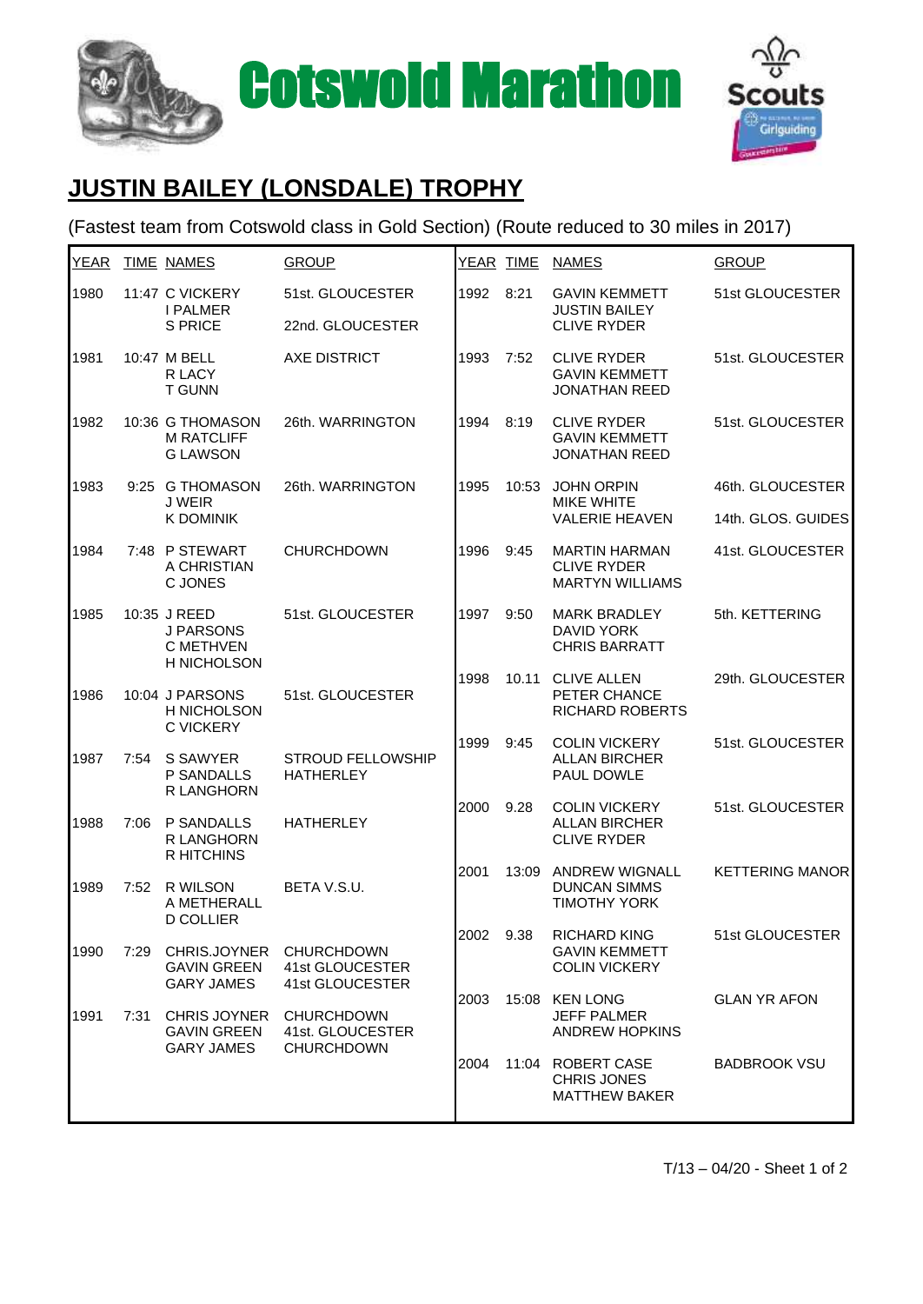



## **JUSTIN BAILEY (LONSDALE) TROPHY**

## (Fastest team from Cotswold class in Gold Section) (Route reduced to 30 miles in 2017)

| <b>YEAR</b> |      | <b>TIME NAMES</b>                                              | <b>GROUP</b>                                               | YEAR TIME |       | <b>NAMES</b>                                                         | <b>GROUP</b>           |
|-------------|------|----------------------------------------------------------------|------------------------------------------------------------|-----------|-------|----------------------------------------------------------------------|------------------------|
| 1980        |      | 11:47 C VICKERY<br><b>I PALMER</b><br><b>S PRICE</b>           | 51st. GLOUCESTER<br>22nd. GLOUCESTER                       | 1992      | 8:21  | <b>GAVIN KEMMETT</b><br><b>JUSTIN BAILEY</b><br><b>CLIVE RYDER</b>   | 51st GLOUCESTER        |
| 1981        |      | 10:47 M BELL<br>R LACY<br><b>T GUNN</b>                        | <b>AXE DISTRICT</b>                                        | 1993      | 7:52  | <b>CLIVE RYDER</b><br><b>GAVIN KEMMETT</b><br><b>JONATHAN REED</b>   | 51st. GLOUCESTER       |
| 1982        |      | 10:36 G THOMASON<br><b>M RATCLIFF</b><br><b>G LAWSON</b>       | 26th. WARRINGTON                                           | 1994      | 8:19  | <b>CLIVE RYDER</b><br><b>GAVIN KEMMETT</b><br><b>JONATHAN REED</b>   | 51st. GLOUCESTER       |
| 1983        |      | 9:25 G THOMASON<br>J WEIR<br><b>K DOMINIK</b>                  | 26th. WARRINGTON                                           | 1995      | 10:53 | <b>JOHN ORPIN</b><br><b>MIKE WHITE</b><br><b>VALERIE HEAVEN</b>      | 46th. GLOUCESTER       |
|             |      |                                                                |                                                            |           |       |                                                                      | 14th. GLOS. GUIDES     |
| 1984        |      | 7:48 P STEWART<br>A CHRISTIAN<br>C JONES                       | <b>CHURCHDOWN</b>                                          | 1996      | 9:45  | <b>MARTIN HARMAN</b><br><b>CLIVE RYDER</b><br><b>MARTYN WILLIAMS</b> | 41st. GLOUCESTER       |
| 1985        |      | 10:35 J REED<br><b>J PARSONS</b><br>C METHVEN<br>H NICHOLSON   | 51st. GLOUCESTER                                           | 1997      | 9:50  | <b>MARK BRADLEY</b><br><b>DAVID YORK</b><br><b>CHRIS BARRATT</b>     | 5th. KETTERING         |
| 1986        |      | 10:04 J PARSONS<br>H NICHOLSON<br><b>C VICKERY</b>             | 51st. GLOUCESTER                                           | 1998      |       | 10.11 CLIVE ALLEN<br>PETER CHANCE<br><b>RICHARD ROBERTS</b>          | 29th. GLOUCESTER       |
| 1987        | 7:54 | S SAWYER<br>P SANDALLS<br>R LANGHORN                           | <b>STROUD FELLOWSHIP</b><br><b>HATHERLEY</b>               | 1999      | 9:45  | <b>COLIN VICKERY</b><br><b>ALLAN BIRCHER</b><br>PAUL DOWLE           | 51st. GLOUCESTER       |
| 1988        | 7:06 | P SANDALLS<br>R LANGHORN<br><b>R HITCHINS</b>                  | <b>HATHERLEY</b>                                           | 2000      | 9.28  | <b>COLIN VICKERY</b><br><b>ALLAN BIRCHER</b><br><b>CLIVE RYDER</b>   | 51st. GLOUCESTER       |
| 1989        | 7:52 | R WILSON<br>A METHERALL<br><b>D COLLIER</b>                    | BETA V.S.U.                                                | 2001      | 13:09 | <b>ANDREW WIGNALL</b><br><b>DUNCAN SIMMS</b><br><b>TIMOTHY YORK</b>  | <b>KETTERING MANOR</b> |
| 1990        | 7:29 | CHRIS.JOYNER<br><b>GAVIN GREEN</b><br><b>GARY JAMES</b>        | <b>CHURCHDOWN</b><br>41st GLOUCESTER<br>41st GLOUCESTER    | 2002      | 9.38  | <b>RICHARD KING</b><br><b>GAVIN KEMMETT</b><br><b>COLIN VICKERY</b>  | 51st GLOUCESTER        |
| 1991        | 7:31 | <b>CHRIS JOYNER</b><br><b>GAVIN GREEN</b><br><b>GARY JAMES</b> | <b>CHURCHDOWN</b><br>41st. GLOUCESTER<br><b>CHURCHDOWN</b> | 2003      |       | 15:08 KEN LONG<br>JEFF PALMER<br><b>ANDREW HOPKINS</b>               | <b>GLAN YR AFON</b>    |
|             |      |                                                                |                                                            | 2004      |       | 11:04 ROBERT CASE<br><b>CHRIS JONES</b><br><b>MATTHEW BAKER</b>      | <b>BADBROOK VSU</b>    |